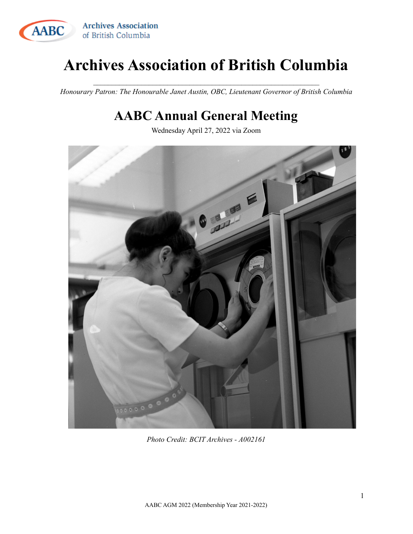

# **Archives Association of British Columbia**

 $\mathcal{L}_\text{max}$  and the contract of the contract of the contract of the contract of the contract of the contract of *Honourary Patron: The Honourable Janet Austin, OBC, Lieutenant Governor of British Columbia*

# **AABC Annual General Meeting**

Wednesday April 27, 2022 via Zoom



*Photo Credit: BCIT Archives - A002161*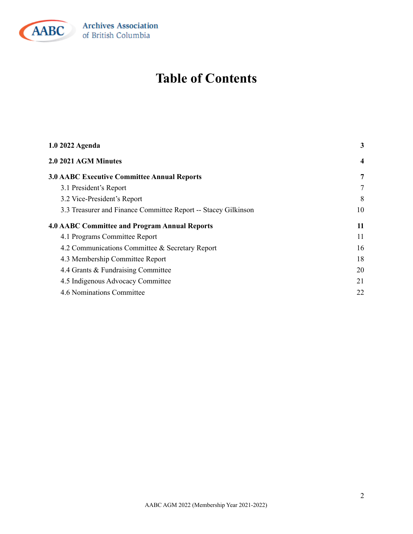

# **Table of Contents**

| 1.0 2022 Agenda                                                | 3              |
|----------------------------------------------------------------|----------------|
| 2.0 2021 AGM Minutes                                           | $\overline{4}$ |
| <b>3.0 AABC Executive Committee Annual Reports</b>             | 7              |
| 3.1 President's Report                                         | 7              |
| 3.2 Vice-President's Report                                    | 8              |
| 3.3 Treasurer and Finance Committee Report -- Stacey Gilkinson | 10             |
| <b>4.0 AABC Committee and Program Annual Reports</b>           | 11             |
| 4.1 Programs Committee Report                                  | 11             |
| 4.2 Communications Committee & Secretary Report                | 16             |
| 4.3 Membership Committee Report                                | 18             |
| 4.4 Grants & Fundraising Committee                             | 20             |
| 4.5 Indigenous Advocacy Committee                              | 21             |
| 4.6 Nominations Committee                                      | 22             |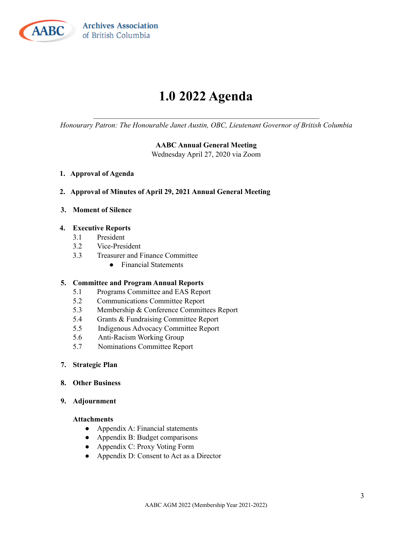

**Archives Association** of British Columbia

# **1.0 2022 Agenda**

<span id="page-2-0"></span> $\mathcal{L}_\text{max}$  and the contract of the contract of the contract of the contract of the contract of the contract of *Honourary Patron: The Honourable Janet Austin, OBC, Lieutenant Governor of British Columbia*

#### **AABC Annual General Meeting**

Wednesday April 27, 2020 via Zoom

- **1. Approval of Agenda**
- **2. Approval of Minutes of April 29, 2021 Annual General Meeting**
- **3. Moment of Silence**

#### **4. Executive Reports**

- 3.1 President
- 3.2 Vice-President
- 3.3 Treasurer and Finance Committee
	- Financial Statements

#### **5. Committee and Program Annual Reports**

- 5.1 Programs Committee and EAS Report
- 5.2 Communications Committee Report
- 5.3 Membership & Conference Committees Report
- 5.4 Grants & Fundraising Committee Report
- 5.5 Indigenous Advocacy Committee Report
- 5.6 Anti-Racism Working Group
- 5.7 Nominations Committee Report
- **7. Strategic Plan**
- **8. Other Business**
- **9. Adjournment**

#### **Attachments**

- Appendix A: Financial statements
- Appendix B: Budget comparisons
- Appendix C: Proxy Voting Form
- Appendix D: Consent to Act as a Director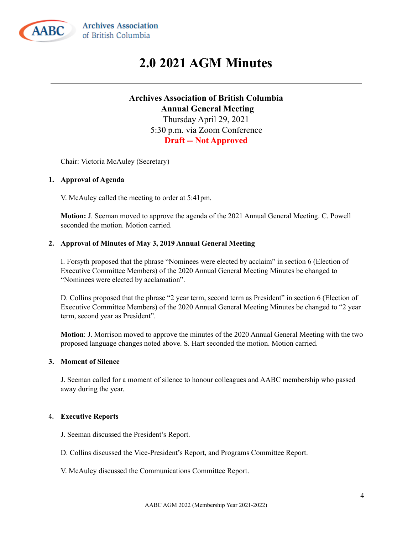<span id="page-3-0"></span>

## **2.0 2021 AGM Minutes**

### **Archives Association of British Columbia Annual General Meeting** Thursday April 29, 2021 5:30 p.m. via Zoom Conference **Draft -- Not Approved**

Chair: Victoria McAuley (Secretary)

#### **1. Approval of Agenda**

V. McAuley called the meeting to order at 5:41pm.

**Motion:** J. Seeman moved to approve the agenda of the 2021 Annual General Meeting. C. Powell seconded the motion. Motion carried.

#### **2. Approval of Minutes of May 3, 2019 Annual General Meeting**

I. Forsyth proposed that the phrase "Nominees were elected by acclaim" in section 6 (Election of Executive Committee Members) of the 2020 Annual General Meeting Minutes be changed to "Nominees were elected by acclamation".

D. Collins proposed that the phrase "2 year term, second term as President" in section 6 (Election of Executive Committee Members) of the 2020 Annual General Meeting Minutes be changed to "2 year term, second year as President".

**Motion**: J. Morrison moved to approve the minutes of the 2020 Annual General Meeting with the two proposed language changes noted above. S. Hart seconded the motion. Motion carried.

#### **3. Moment of Silence**

J. Seeman called for a moment of silence to honour colleagues and AABC membership who passed away during the year.

#### **4. Executive Reports**

- J. Seeman discussed the President's Report.
- D. Collins discussed the Vice-President's Report, and Programs Committee Report.
- V. McAuley discussed the Communications Committee Report.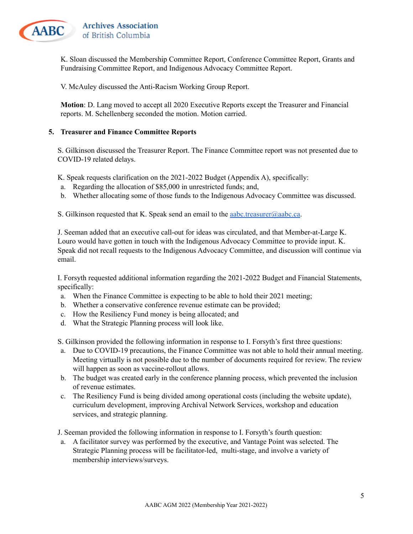

K. Sloan discussed the Membership Committee Report, Conference Committee Report, Grants and Fundraising Committee Report, and Indigenous Advocacy Committee Report.

V. McAuley discussed the Anti-Racism Working Group Report.

**Motion**: D. Lang moved to accept all 2020 Executive Reports except the Treasurer and Financial reports. M. Schellenberg seconded the motion. Motion carried.

#### **5. Treasurer and Finance Committee Reports**

S. Gilkinson discussed the Treasurer Report. The Finance Committee report was not presented due to COVID-19 related delays.

K. Speak requests clarification on the 2021-2022 Budget (Appendix A), specifically:

- a. Regarding the allocation of \$85,000 in unrestricted funds; and,
- b. Whether allocating some of those funds to the Indigenous Advocacy Committee was discussed.

S. Gilkinson requested that K. Speak send an email to the **[aabc.treasurer@aabc.ca](mailto:aabc.treasurer@aabc.ca)**.

J. Seeman added that an executive call-out for ideas was circulated, and that Member-at-Large K. Louro would have gotten in touch with the Indigenous Advocacy Committee to provide input. K. Speak did not recall requests to the Indigenous Advocacy Committee, and discussion will continue via email.

I. Forsyth requested additional information regarding the 2021-2022 Budget and Financial Statements, specifically:

- a. When the Finance Committee is expecting to be able to hold their 2021 meeting;
- b. Whether a conservative conference revenue estimate can be provided;
- c. How the Resiliency Fund money is being allocated; and
- d. What the Strategic Planning process will look like.

S. Gilkinson provided the following information in response to I. Forsyth's first three questions:

- a. Due to COVID-19 precautions, the Finance Committee was not able to hold their annual meeting. Meeting virtually is not possible due to the number of documents required for review. The review will happen as soon as vaccine-rollout allows.
- b. The budget was created early in the conference planning process, which prevented the inclusion of revenue estimates.
- c. The Resiliency Fund is being divided among operational costs (including the website update), curriculum development, improving Archival Network Services, workshop and education services, and strategic planning.

J. Seeman provided the following information in response to I. Forsyth's fourth question:

a. A facilitator survey was performed by the executive, and Vantage Point was selected. The Strategic Planning process will be facilitator-led, multi-stage, and involve a variety of membership interviews/surveys.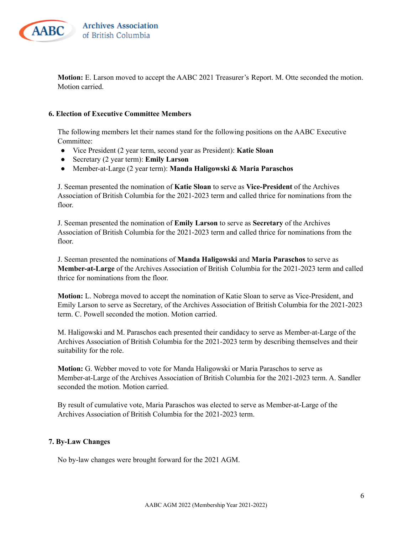

**Motion:** E. Larson moved to accept the AABC 2021 Treasurer's Report. M. Otte seconded the motion. Motion carried.

#### **6. Election of Executive Committee Members**

The following members let their names stand for the following positions on the AABC Executive Committee<sup>.</sup>

- Vice President (2 year term, second year as President): **Katie Sloan**
- Secretary (2 year term): **Emily Larson**
- Member-at-Large (2 year term): **Manda Haligowski & Maria Paraschos**

J. Seeman presented the nomination of **Katie Sloan** to serve as **Vice-President** of the Archives Association of British Columbia for the 2021-2023 term and called thrice for nominations from the floor.

J. Seeman presented the nomination of **Emily Larson** to serve as **Secretary** of the Archives Association of British Columbia for the 2021-2023 term and called thrice for nominations from the floor.

J. Seeman presented the nominations of **Manda Haligowski** and **Maria Paraschos** to serve as **Member-at-Large** of the Archives Association of British Columbia for the 2021-2023 term and called thrice for nominations from the floor.

**Motion:** L. Nobrega moved to accept the nomination of Katie Sloan to serve as Vice-President, and Emily Larson to serve as Secretary, of the Archives Association of British Columbia for the 2021-2023 term. C. Powell seconded the motion. Motion carried.

M. Haligowski and M. Paraschos each presented their candidacy to serve as Member-at-Large of the Archives Association of British Columbia for the 2021-2023 term by describing themselves and their suitability for the role.

**Motion:** G. Webber moved to vote for Manda Haligowski or Maria Paraschos to serve as Member-at-Large of the Archives Association of British Columbia for the 2021-2023 term. A. Sandler seconded the motion. Motion carried.

By result of cumulative vote, Maria Paraschos was elected to serve as Member-at-Large of the Archives Association of British Columbia for the 2021-2023 term.

#### **7. By-Law Changes**

No by-law changes were brought forward for the 2021 AGM.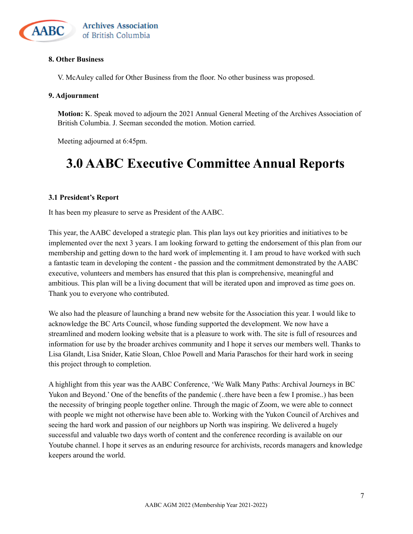

## **8. Other Business**

V. McAuley called for Other Business from the floor. No other business was proposed.

#### **9. Adjournment**

**Motion:** K. Speak moved to adjourn the 2021 Annual General Meeting of the Archives Association of British Columbia. J. Seeman seconded the motion. Motion carried.

Meeting adjourned at 6:45pm.

## <span id="page-6-0"></span>**3.0 AABC Executive Committee Annual Reports**

#### <span id="page-6-1"></span>**3.1 President's Report**

It has been my pleasure to serve as President of the AABC.

This year, the AABC developed a strategic plan. This plan lays out key priorities and initiatives to be implemented over the next 3 years. I am looking forward to getting the endorsement of this plan from our membership and getting down to the hard work of implementing it. I am proud to have worked with such a fantastic team in developing the content - the passion and the commitment demonstrated by the AABC executive, volunteers and members has ensured that this plan is comprehensive, meaningful and ambitious. This plan will be a living document that will be iterated upon and improved as time goes on. Thank you to everyone who contributed.

We also had the pleasure of launching a brand new website for the Association this year. I would like to acknowledge the BC Arts Council, whose funding supported the development. We now have a streamlined and modern looking website that is a pleasure to work with. The site is full of resources and information for use by the broader archives community and I hope it serves our members well. Thanks to Lisa Glandt, Lisa Snider, Katie Sloan, Chloe Powell and Maria Paraschos for their hard work in seeing this project through to completion.

A highlight from this year was the AABC Conference, 'We Walk Many Paths: Archival Journeys in BC Yukon and Beyond.' One of the benefits of the pandemic (..there have been a few I promise..) has been the necessity of bringing people together online. Through the magic of Zoom, we were able to connect with people we might not otherwise have been able to. Working with the Yukon Council of Archives and seeing the hard work and passion of our neighbors up North was inspiring. We delivered a hugely successful and valuable two days worth of content and the conference recording is available on our Youtube channel. I hope it serves as an enduring resource for archivists, records managers and knowledge keepers around the world.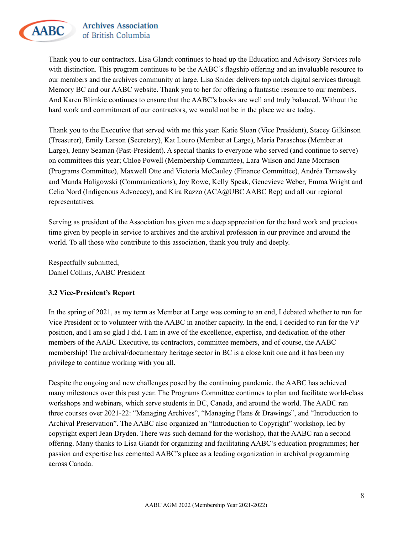

**Archives Association** of British Columbia

Thank you to our contractors. Lisa Glandt continues to head up the Education and Advisory Services role with distinction. This program continues to be the AABC's flagship offering and an invaluable resource to our members and the archives community at large. Lisa Snider delivers top notch digital services through Memory BC and our AABC website. Thank you to her for offering a fantastic resource to our members. And Karen Blimkie continues to ensure that the AABC's books are well and truly balanced. Without the hard work and commitment of our contractors, we would not be in the place we are today.

Thank you to the Executive that served with me this year: Katie Sloan (Vice President), Stacey Gilkinson (Treasurer), Emily Larson (Secretary), Kat Louro (Member at Large), Maria Paraschos (Member at Large), Jenny Seaman (Past-President). A special thanks to everyone who served (and continue to serve) on committees this year; Chloe Powell (Membership Committee), Lara Wilson and Jane Morrison (Programs Committee), Maxwell Otte and Victoria McCauley (Finance Committee), Andréa Tarnawsky and Manda Haligowski (Communications), Joy Rowe, Kelly Speak, Genevieve Weber, Emma Wright and Celia Nord (Indigenous Advocacy), and Kira Razzo (ACA@UBC AABC Rep) and all our regional representatives.

Serving as president of the Association has given me a deep appreciation for the hard work and precious time given by people in service to archives and the archival profession in our province and around the world. To all those who contribute to this association, thank you truly and deeply.

Respectfully submitted, Daniel Collins, AABC President

#### <span id="page-7-0"></span>**3.2 Vice-President's Report**

In the spring of 2021, as my term as Member at Large was coming to an end, I debated whether to run for Vice President or to volunteer with the AABC in another capacity. In the end, I decided to run for the VP position, and I am so glad I did. I am in awe of the excellence, expertise, and dedication of the other members of the AABC Executive, its contractors, committee members, and of course, the AABC membership! The archival/documentary heritage sector in BC is a close knit one and it has been my privilege to continue working with you all.

Despite the ongoing and new challenges posed by the continuing pandemic, the AABC has achieved many milestones over this past year. The Programs Committee continues to plan and facilitate world-class workshops and webinars, which serve students in BC, Canada, and around the world. The AABC ran three courses over 2021-22: "Managing Archives", "Managing Plans & Drawings", and "Introduction to Archival Preservation". The AABC also organized an "Introduction to Copyright" workshop, led by copyright expert Jean Dryden. There was such demand for the workshop, that the AABC ran a second offering. Many thanks to Lisa Glandt for organizing and facilitating AABC's education programmes; her passion and expertise has cemented AABC's place as a leading organization in archival programming across Canada.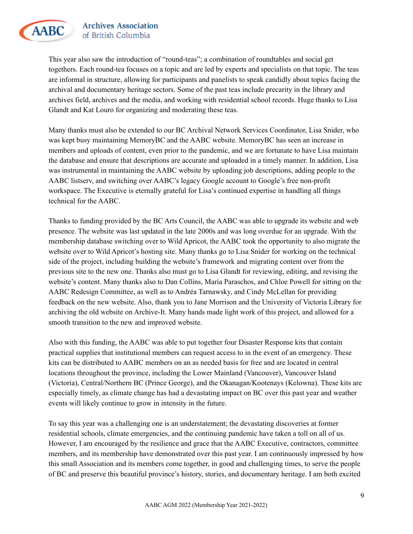

**Archives Association** of British Columbia

This year also saw the introduction of "round-teas"; a combination of roundtables and social get togethers. Each round-tea focuses on a topic and are led by experts and specialists on that topic. The teas are informal in structure, allowing for participants and panelists to speak candidly about topics facing the archival and documentary heritage sectors. Some of the past teas include precarity in the library and archives field, archives and the media, and working with residential school records. Huge thanks to Lisa Glandt and Kat Louro for organizing and moderating these teas.

Many thanks must also be extended to our BC Archival Network Services Coordinator, Lisa Snider, who was kept busy maintaining MemoryBC and the AABC website. MemoryBC has seen an increase in members and uploads of content, even prior to the pandemic, and we are fortunate to have Lisa maintain the database and ensure that descriptions are accurate and uploaded in a timely manner. In addition, Lisa was instrumental in maintaining the AABC website by uploading job descriptions, adding people to the AABC listserv, and switching over AABC's legacy Google account to Google's free non-profit workspace. The Executive is eternally grateful for Lisa's continued expertise in handling all things technical for the AABC.

Thanks to funding provided by the BC Arts Council, the AABC was able to upgrade its website and web presence. The website was last updated in the late 2000s and was long overdue for an upgrade. With the membership database switching over to Wild Apricot, the AABC took the opportunity to also migrate the website over to Wild Apricot's hosting site. Many thanks go to Lisa Snider for working on the technical side of the project, including building the website's framework and migrating content over from the previous site to the new one. Thanks also must go to Lisa Glandt for reviewing, editing, and revising the website's content. Many thanks also to Dan Collins, Maria Paraschos, and Chloe Powell for sitting on the AABC Redesign Committee, as well as to Andréa Tarnawsky, and Cindy McLellan for providing feedback on the new website. Also, thank you to Jane Morrison and the University of Victoria Library for archiving the old website on Archive-It. Many hands made light work of this project, and allowed for a smooth transition to the new and improved website.

Also with this funding, the AABC was able to put together four Disaster Response kits that contain practical supplies that institutional members can request access to in the event of an emergency. These kits can be distributed to AABC members on an as needed basis for free and are located in central locations throughout the province, including the Lower Mainland (Vancouver), Vancouver Island (Victoria), Central/Northern BC (Prince George), and the Okanagan/Kootenays (Kelowna). These kits are especially timely, as climate change has had a devastating impact on BC over this past year and weather events will likely continue to grow in intensity in the future.

To say this year was a challenging one is an understatement; the devastating discoveries at former residential schools, climate emergencies, and the continuing pandemic have taken a toll on all of us. However, I am encouraged by the resilience and grace that the AABC Executive, contractors, committee members, and its membership have demonstrated over this past year. I am continuously impressed by how this small Association and its members come together, in good and challenging times, to serve the people of BC and preserve this beautiful province's history, stories, and documentary heritage. I am both excited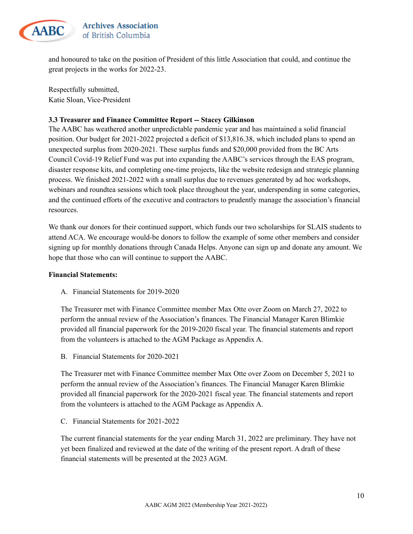

and honoured to take on the position of President of this little Association that could, and continue the great projects in the works for 2022-23.

Respectfully submitted, Katie Sloan, Vice-President

#### <span id="page-9-0"></span>**3.3 Treasurer and Finance Committee Report -- Stacey Gilkinson**

The AABC has weathered another unpredictable pandemic year and has maintained a solid financial position. Our budget for 2021-2022 projected a deficit of \$13,816.38, which included plans to spend an unexpected surplus from 2020-2021. These surplus funds and \$20,000 provided from the BC Arts Council Covid-19 Relief Fund was put into expanding the AABC's services through the EAS program, disaster response kits, and completing one-time projects, like the website redesign and strategic planning process. We finished 2021-2022 with a small surplus due to revenues generated by ad hoc workshops, webinars and roundtea sessions which took place throughout the year, underspending in some categories, and the continued efforts of the executive and contractors to prudently manage the association's financial resources.

We thank our donors for their continued support, which funds our two scholarships for SLAIS students to attend ACA. We encourage would-be donors to follow the example of some other members and consider signing up for monthly donations through Canada Helps. Anyone can sign up and donate any amount. We hope that those who can will continue to support the AABC.

#### **Financial Statements:**

A. Financial Statements for 2019-2020

The Treasurer met with Finance Committee member Max Otte over Zoom on March 27, 2022 to perform the annual review of the Association's finances. The Financial Manager Karen Blimkie provided all financial paperwork for the 2019-2020 fiscal year. The financial statements and report from the volunteers is attached to the AGM Package as Appendix A.

B. Financial Statements for 2020-2021

The Treasurer met with Finance Committee member Max Otte over Zoom on December 5, 2021 to perform the annual review of the Association's finances. The Financial Manager Karen Blimkie provided all financial paperwork for the 2020-2021 fiscal year. The financial statements and report from the volunteers is attached to the AGM Package as Appendix A.

C. Financial Statements for 2021-2022

The current financial statements for the year ending March 31, 2022 are preliminary. They have not yet been finalized and reviewed at the date of the writing of the present report. A draft of these financial statements will be presented at the 2023 AGM.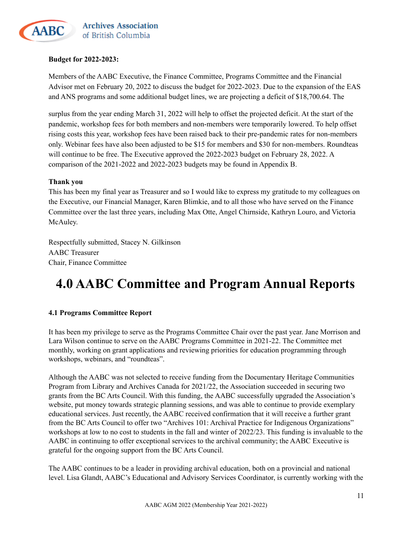

#### **Budget for 2022-2023:**

Members of the AABC Executive, the Finance Committee, Programs Committee and the Financial Advisor met on February 20, 2022 to discuss the budget for 2022-2023. Due to the expansion of the EAS and ANS programs and some additional budget lines, we are projecting a deficit of \$18,700.64. The

surplus from the year ending March 31, 2022 will help to offset the projected deficit. At the start of the pandemic, workshop fees for both members and non-members were temporarily lowered. To help offset rising costs this year, workshop fees have been raised back to their pre-pandemic rates for non-members only. Webinar fees have also been adjusted to be \$15 for members and \$30 for non-members. Roundteas will continue to be free. The Executive approved the 2022-2023 budget on February 28, 2022. A comparison of the 2021-2022 and 2022-2023 budgets may be found in Appendix B.

#### **Thank you**

This has been my final year as Treasurer and so I would like to express my gratitude to my colleagues on the Executive, our Financial Manager, Karen Blimkie, and to all those who have served on the Finance Committee over the last three years, including Max Otte, Angel Chirnside, Kathryn Louro, and Victoria McAuley.

Respectfully submitted, Stacey N. Gilkinson AABC Treasurer Chair, Finance Committee

## <span id="page-10-0"></span>**4.0 AABC Committee and Program Annual Reports**

#### <span id="page-10-1"></span>**4.1 Programs Committee Report**

It has been my privilege to serve as the Programs Committee Chair over the past year. Jane Morrison and Lara Wilson continue to serve on the AABC Programs Committee in 2021-22. The Committee met monthly, working on grant applications and reviewing priorities for education programming through workshops, webinars, and "roundteas".

Although the AABC was not selected to receive funding from the Documentary Heritage Communities Program from Library and Archives Canada for 2021/22, the Association succeeded in securing two grants from the BC Arts Council. With this funding, the AABC successfully upgraded the Association's website, put money towards strategic planning sessions, and was able to continue to provide exemplary educational services. Just recently, the AABC received confirmation that it will receive a further grant from the BC Arts Council to offer two "Archives 101: Archival Practice for Indigenous Organizations" workshops at low to no cost to students in the fall and winter of 2022/23. This funding is invaluable to the AABC in continuing to offer exceptional services to the archival community; the AABC Executive is grateful for the ongoing support from the BC Arts Council.

The AABC continues to be a leader in providing archival education, both on a provincial and national level. Lisa Glandt, AABC's Educational and Advisory Services Coordinator, is currently working with the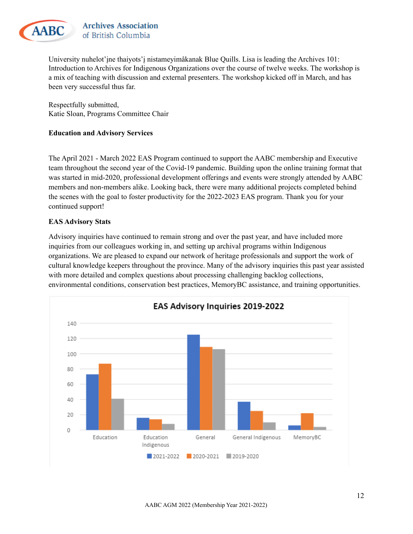

University nuhelot'įne thaiyots'į nistameyimâkanak Blue Quills. Lisa is leading the Archives 101: Introduction to Archives for Indigenous Organizations over the course of twelve weeks. The workshop is a mix of teaching with discussion and external presenters. The workshop kicked off in March, and has been very successful thus far.

Respectfully submitted, Katie Sloan, Programs Committee Chair

#### **Education and Advisory Services**

The April 2021 - March 2022 EAS Program continued to support the AABC membership and Executive team throughout the second year of the Covid-19 pandemic. Building upon the online training format that was started in mid-2020, professional development offerings and events were strongly attended by AABC members and non-members alike. Looking back, there were many additional projects completed behind the scenes with the goal to foster productivity for the 2022-2023 EAS program. Thank you for your continued support!

#### **EAS Advisory Stats**

Advisory inquiries have continued to remain strong and over the past year, and have included more inquiries from our colleagues working in, and setting up archival programs within Indigenous organizations. We are pleased to expand our network of heritage professionals and support the work of cultural knowledge keepers throughout the province. Many of the advisory inquiries this past year assisted with more detailed and complex questions about processing challenging backlog collections, environmental conditions, conservation best practices, MemoryBC assistance, and training opportunities.

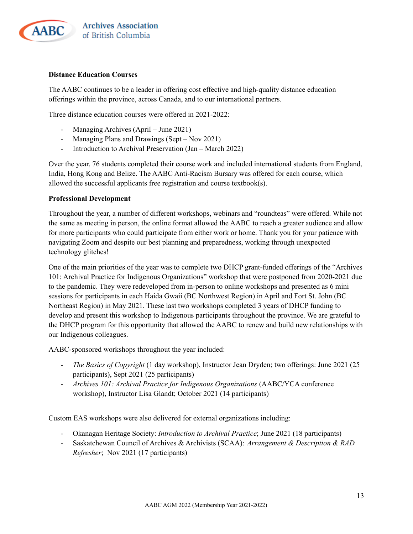

#### **Distance Education Courses**

The AABC continues to be a leader in offering cost effective and high-quality distance education offerings within the province, across Canada, and to our international partners.

Three distance education courses were offered in 2021-2022:

- Managing Archives (April June 2021)
- Managing Plans and Drawings (Sept Nov 2021)
- Introduction to Archival Preservation (Jan March 2022)

Over the year, 76 students completed their course work and included international students from England, India, Hong Kong and Belize. The AABC Anti-Racism Bursary was offered for each course, which allowed the successful applicants free registration and course textbook(s).

#### **Professional Development**

Throughout the year, a number of different workshops, webinars and "roundteas" were offered. While not the same as meeting in person, the online format allowed the AABC to reach a greater audience and allow for more participants who could participate from either work or home. Thank you for your patience with navigating Zoom and despite our best planning and preparedness, working through unexpected technology glitches!

One of the main priorities of the year was to complete two DHCP grant-funded offerings of the "Archives 101: Archival Practice for Indigenous Organizations" workshop that were postponed from 2020-2021 due to the pandemic. They were redeveloped from in-person to online workshops and presented as 6 mini sessions for participants in each Haida Gwaii (BC Northwest Region) in April and Fort St. John (BC Northeast Region) in May 2021. These last two workshops completed 3 years of DHCP funding to develop and present this workshop to Indigenous participants throughout the province. We are grateful to the DHCP program for this opportunity that allowed the AABC to renew and build new relationships with our Indigenous colleagues.

AABC-sponsored workshops throughout the year included:

- *The Basics of Copyright* (1 day workshop), Instructor Jean Dryden; two offerings: June 2021 (25 participants), Sept 2021 (25 participants)
- *Archives 101: Archival Practice for Indigenous Organizations* (AABC/YCA conference workshop), Instructor Lisa Glandt; October 2021 (14 participants)

Custom EAS workshops were also delivered for external organizations including:

- Okanagan Heritage Society: *Introduction to Archival Practice*; June 2021 (18 participants)
- Saskatchewan Council of Archives & Archivists (SCAA): *Arrangement & Description & RAD Refresher*; Nov 2021 (17 participants)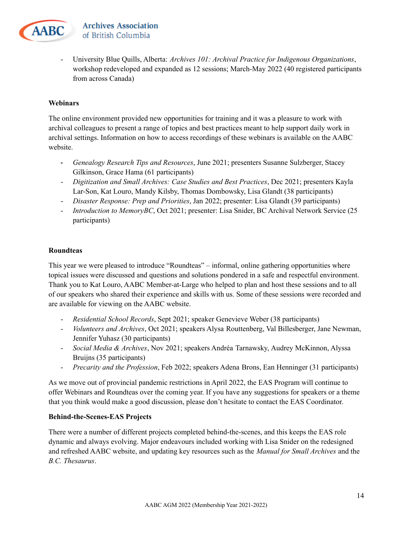

- University Blue Quills, Alberta: *Archives 101: Archival Practice for Indigenous Organizations*, workshop redeveloped and expanded as 12 sessions; March-May 2022 (40 registered participants from across Canada)

#### **Webinars**

The online environment provided new opportunities for training and it was a pleasure to work with archival colleagues to present a range of topics and best practices meant to help support daily work in archival settings. Information on how to access recordings of these webinars is available on the AABC website.

- **-** *Genealogy Research Tips and Resources*, June 2021; presenters Susanne Sulzberger, Stacey Gilkinson, Grace Hama (61 participants)
- *Digitization and Small Archives: Case Studies and Best Practices*, Dec 2021; presenters Kayla Lar-Son, Kat Louro, Mandy Kilsby, Thomas Dombowsky, Lisa Glandt (38 participants)
- *Disaster Response: Prep and Priorities*, Jan 2022; presenter: Lisa Glandt (39 participants)
- *Introduction to MemoryBC*, Oct 2021; presenter: Lisa Snider, BC Archival Network Service (25 participants)

#### **Roundteas**

This year we were pleased to introduce "Roundteas" – informal, online gathering opportunities where topical issues were discussed and questions and solutions pondered in a safe and respectful environment. Thank you to Kat Louro, AABC Member-at-Large who helped to plan and host these sessions and to all of our speakers who shared their experience and skills with us. Some of these sessions were recorded and are available for viewing on the AABC website.

- *Residential School Records*, Sept 2021; speaker Genevieve Weber (38 participants)
- *Volunteers and Archives*, Oct 2021; speakers Alysa Routtenberg, Val Billesberger, Jane Newman, Jennifer Yuhasz (30 participants)
- *Social Media & Archives*, Nov 2021; speakers Andréa Tarnawsky, Audrey McKinnon, Alyssa Bruijns (35 participants)
- *Precarity and the Profession*, Feb 2022; speakers Adena Brons, Ean Henninger (31 participants)

As we move out of provincial pandemic restrictions in April 2022, the EAS Program will continue to offer Webinars and Roundteas over the coming year. If you have any suggestions for speakers or a theme that you think would make a good discussion, please don't hesitate to contact the EAS Coordinator.

#### **Behind-the-Scenes-EAS Projects**

There were a number of different projects completed behind-the-scenes, and this keeps the EAS role dynamic and always evolving. Major endeavours included working with Lisa Snider on the redesigned and refreshed AABC website, and updating key resources such as the *Manual for Small Archives* and the *B.C. Thesaurus*.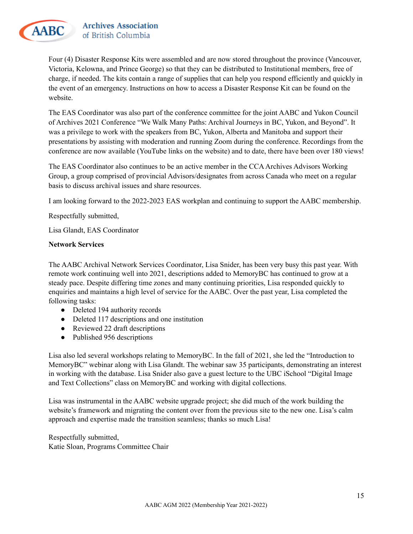

Four (4) Disaster Response Kits were assembled and are now stored throughout the province (Vancouver, Victoria, Kelowna, and Prince George) so that they can be distributed to Institutional members, free of charge, if needed. The kits contain a range of supplies that can help you respond efficiently and quickly in the event of an emergency. Instructions on how to access a Disaster Response Kit can be found on the website.

The EAS Coordinator was also part of the conference committee for the joint AABC and Yukon Council of Archives 2021 Conference "We Walk Many Paths: Archival Journeys in BC, Yukon, and Beyond". It was a privilege to work with the speakers from BC, Yukon, Alberta and Manitoba and support their presentations by assisting with moderation and running Zoom during the conference. Recordings from the conference are now available (YouTube links on the website) and to date, there have been over 180 views!

The EAS Coordinator also continues to be an active member in the CCAArchives Advisors Working Group, a group comprised of provincial Advisors/designates from across Canada who meet on a regular basis to discuss archival issues and share resources.

I am looking forward to the 2022-2023 EAS workplan and continuing to support the AABC membership.

Respectfully submitted,

Lisa Glandt, EAS Coordinator

#### **Network Services**

The AABC Archival Network Services Coordinator, Lisa Snider, has been very busy this past year. With remote work continuing well into 2021, descriptions added to MemoryBC has continued to grow at a steady pace. Despite differing time zones and many continuing priorities, Lisa responded quickly to enquiries and maintains a high level of service for the AABC. Over the past year, Lisa completed the following tasks:

- Deleted 194 authority records
- Deleted 117 descriptions and one institution
- Reviewed 22 draft descriptions
- Published 956 descriptions

Lisa also led several workshops relating to MemoryBC. In the fall of 2021, she led the "Introduction to MemoryBC" webinar along with Lisa Glandt. The webinar saw 35 participants, demonstrating an interest in working with the database. Lisa Snider also gave a guest lecture to the UBC iSchool "Digital Image and Text Collections" class on MemoryBC and working with digital collections.

Lisa was instrumental in the AABC website upgrade project; she did much of the work building the website's framework and migrating the content over from the previous site to the new one. Lisa's calm approach and expertise made the transition seamless; thanks so much Lisa!

Respectfully submitted, Katie Sloan, Programs Committee Chair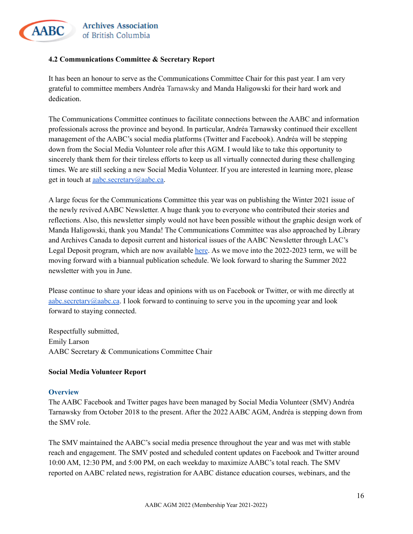

#### <span id="page-15-0"></span>**4.2 Communications Committee & Secretary Report**

It has been an honour to serve as the Communications Committee Chair for this past year. I am very grateful to committee members Andréa Tarnawsky and Manda Haligowski for their hard work and dedication.

The Communications Committee continues to facilitate connections between the AABC and information professionals across the province and beyond. In particular, Andréa Tarnawsky continued their excellent management of the AABC's social media platforms (Twitter and Facebook). Andréa will be stepping down from the Social Media Volunteer role after this AGM. I would like to take this opportunity to sincerely thank them for their tireless efforts to keep us all virtually connected during these challenging times. We are still seeking a new Social Media Volunteer. If you are interested in learning more, please get in touch at [aabc.secretary@aabc.ca.](mailto:aabc.secretary@aabc.ca)

A large focus for the Communications Committee this year was on publishing the Winter 2021 issue of the newly revived AABC Newsletter. A huge thank you to everyone who contributed their stories and reflections. Also, this newsletter simply would not have been possible without the graphic design work of Manda Haligowski, thank you Manda! The Communications Committee was also approached by Library and Archives Canada to deposit current and historical issues of the AABC Newsletter through LAC's Legal Deposit program, which are now available [here](https://bac-lac.on.worldcat.org/search/detail/1081339518?queryString=AABC%20Newsletter&clusterResults=false&groupVariantRecords=false). As we move into the 2022-2023 term, we will be moving forward with a biannual publication schedule. We look forward to sharing the Summer 2022 newsletter with you in June.

Please continue to share your ideas and opinions with us on Facebook or Twitter, or with me directly at [aabc.secretary@aabc.ca](mailto:aabc.secretary@aabc.ca). I look forward to continuing to serve you in the upcoming year and look forward to staying connected.

Respectfully submitted, Emily Larson AABC Secretary & Communications Committee Chair

#### **Social Media Volunteer Report**

#### **Overview**

The AABC Facebook and Twitter pages have been managed by Social Media Volunteer (SMV) Andréa Tarnawsky from October 2018 to the present. After the 2022 AABC AGM, Andréa is stepping down from the SMV role.

The SMV maintained the AABC's social media presence throughout the year and was met with stable reach and engagement. The SMV posted and scheduled content updates on Facebook and Twitter around 10:00 AM, 12:30 PM, and 5:00 PM, on each weekday to maximize AABC's total reach. The SMV reported on AABC related news, registration for AABC distance education courses, webinars, and the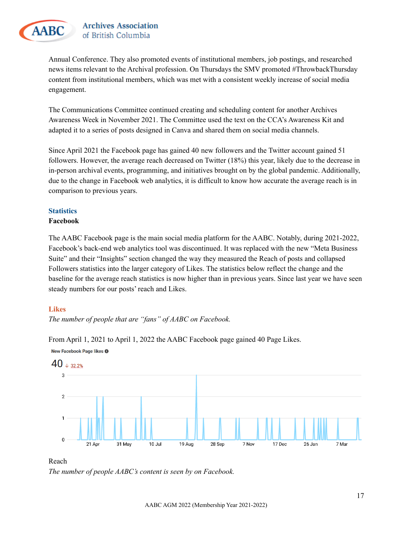

Annual Conference. They also promoted events of institutional members, job postings, and researched news items relevant to the Archival profession. On Thursdays the SMV promoted #ThrowbackThursday content from institutional members, which was met with a consistent weekly increase of social media engagement.

The Communications Committee continued creating and scheduling content for another Archives Awareness Week in November 2021. The Committee used the text on the CCA's Awareness Kit and adapted it to a series of posts designed in Canva and shared them on social media channels.

Since April 2021 the Facebook page has gained 40 new followers and the Twitter account gained 51 followers. However, the average reach decreased on Twitter (18%) this year, likely due to the decrease in in-person archival events, programming, and initiatives brought on by the global pandemic. Additionally, due to the change in Facebook web analytics, it is difficult to know how accurate the average reach is in comparison to previous years.

#### **Statistics**

#### **Facebook**

The AABC Facebook page is the main social media platform for the AABC. Notably, during 2021-2022, Facebook's back-end web analytics tool was discontinued. It was replaced with the new "Meta Business Suite" and their "Insights" section changed the way they measured the Reach of posts and collapsed Followers statistics into the larger category of Likes. The statistics below reflect the change and the baseline for the average reach statistics is now higher than in previous years. Since last year we have seen steady numbers for our posts' reach and Likes.

#### **Likes**

*The number of people that are "fans" of AABC on Facebook.*

From April 1, 2021 to April 1, 2022 the AABC Facebook page gained 40 Page Likes.



New Facebook Page likes <sup>O</sup>

#### Reach

*The number of people AABC's content is seen by on Facebook.*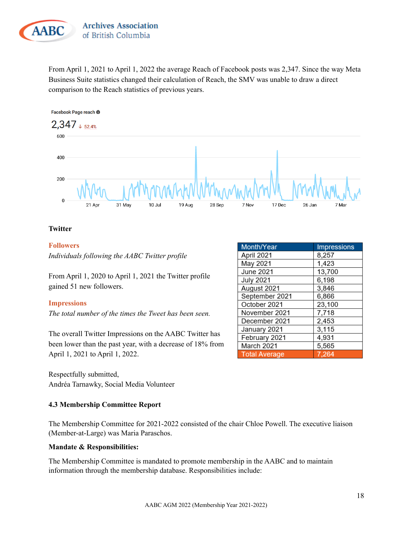

From April 1, 2021 to April 1, 2022 the average Reach of Facebook posts was 2,347. Since the way Meta Business Suite statistics changed their calculation of Reach, the SMV was unable to draw a direct comparison to the Reach statistics of previous years.





#### **Twitter**

#### **Followers**

*Individuals following the AABC Twitter profile*

From April 1, 2020 to April 1, 2021 the Twitter profile gained 51 new followers.

#### **Impressions**

*The total number of the times the Tweet has been seen.*

The overall Twitter Impressions on the AABC Twitter has been lower than the past year, with a decrease of 18% from April 1, 2021 to April 1, 2022.

Respectfully submitted, Andréa Tarnawky, Social Media Volunteer

#### <span id="page-17-0"></span>**4.3 Membership Committee Report**

The Membership Committee for 2021-2022 consisted of the chair Chloe Powell. The executive liaison (Member-at-Large) was Maria Paraschos.

#### **Mandate & Responsibilities:**

The Membership Committee is mandated to promote membership in the AABC and to maintain information through the membership database. Responsibilities include:

| Month/Year           | <b>Impressions</b> |
|----------------------|--------------------|
| April 2021           | 8,257              |
| May 2021             | 1,423              |
| June 2021            | 13,700             |
| <b>July 2021</b>     | 6,198              |
| August 2021          | 3,846              |
| September 2021       | 6,866              |
| October 2021         | 23,100             |
| November 2021        | 7,718              |
| December 2021        | 2,453              |
| January 2021         | 3,115              |
| February 2021        | 4,931              |
| March 2021           | 5,565              |
| <b>Total Average</b> | 7.264              |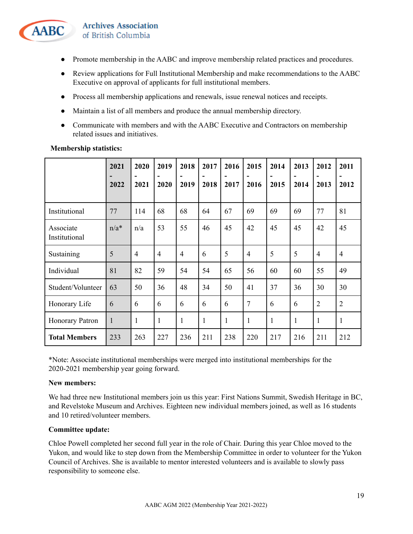

- Promote membership in the AABC and improve membership related practices and procedures.
- Review applications for Full Institutional Membership and make recommendations to the AABC Executive on approval of applicants for full institutional members.
- Process all membership applications and renewals, issue renewal notices and receipts.
- Maintain a list of all members and produce the annual membership directory.
- Communicate with members and with the AABC Executive and Contractors on membership related issues and initiatives.

|                            | 2021<br>-<br>2022 | 2020<br>$\overline{\phantom{0}}$<br>2021 | 2019<br>2020   | 2018<br>2019   | 2017<br>$\overline{\phantom{a}}$<br>2018 | 2016<br>2017 | 2015<br>2016   | 2014<br>$\overline{a}$<br>2015 | 2013<br>2014 | 2012<br>2013   | 2011<br>2012   |
|----------------------------|-------------------|------------------------------------------|----------------|----------------|------------------------------------------|--------------|----------------|--------------------------------|--------------|----------------|----------------|
| Institutional              | 77                | 114                                      | 68             | 68             | 64                                       | 67           | 69             | 69                             | 69           | 77             | 81             |
| Associate<br>Institutional | $n/a*$            | n/a                                      | 53             | 55             | 46                                       | 45           | 42             | 45                             | 45           | 42             | 45             |
| Sustaining                 | 5                 | $\overline{4}$                           | $\overline{4}$ | $\overline{4}$ | 6                                        | 5            | $\overline{4}$ | 5                              | 5            | $\overline{4}$ | $\overline{4}$ |
| Individual                 | 81                | 82                                       | 59             | 54             | 54                                       | 65           | 56             | 60                             | 60           | 55             | 49             |
| Student/Volunteer          | 63                | 50                                       | 36             | 48             | 34                                       | 50           | 41             | 37                             | 36           | 30             | 30             |
| Honorary Life              | 6                 | 6                                        | 6              | 6              | 6                                        | 6            | $\overline{7}$ | 6                              | 6            | $\overline{2}$ | $\overline{2}$ |
| <b>Honorary Patron</b>     | $\mathbf{1}$      | $\mathbf{1}$                             | 1              | 1              | 1                                        | 1            | $\mathbf{1}$   | 1                              | $\mathbf{1}$ | 1              | 1              |
| <b>Total Members</b>       | 233               | 263                                      | 227            | 236            | 211                                      | 238          | 220            | 217                            | 216          | 211            | 212            |

#### **Membership statistics:**

\*Note: Associate institutional memberships were merged into institutional memberships for the 2020-2021 membership year going forward.

#### **New members:**

We had three new Institutional members join us this year: First Nations Summit, Swedish Heritage in BC, and Revelstoke Museum and Archives. Eighteen new individual members joined, as well as 16 students and 10 retired/volunteer members.

#### **Committee update:**

Chloe Powell completed her second full year in the role of Chair. During this year Chloe moved to the Yukon, and would like to step down from the Membership Committee in order to volunteer for the Yukon Council of Archives. She is available to mentor interested volunteers and is available to slowly pass responsibility to someone else.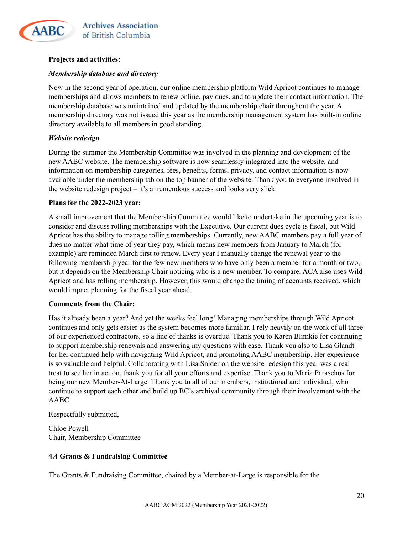

#### **Projects and activities:**

#### *Membership database and directory*

Now in the second year of operation, our online membership platform Wild Apricot continues to manage memberships and allows members to renew online, pay dues, and to update their contact information. The membership database was maintained and updated by the membership chair throughout the year. A membership directory was not issued this year as the membership management system has built-in online directory available to all members in good standing.

#### *Website redesign*

During the summer the Membership Committee was involved in the planning and development of the new AABC website. The membership software is now seamlessly integrated into the website, and information on membership categories, fees, benefits, forms, privacy, and contact information is now available under the membership tab on the top banner of the website. Thank you to everyone involved in the website redesign project – it's a tremendous success and looks very slick.

#### **Plans for the 2022-2023 year:**

A small improvement that the Membership Committee would like to undertake in the upcoming year is to consider and discuss rolling memberships with the Executive. Our current dues cycle is fiscal, but Wild Apricot has the ability to manage rolling memberships. Currently, new AABC members pay a full year of dues no matter what time of year they pay, which means new members from January to March (for example) are reminded March first to renew. Every year I manually change the renewal year to the following membership year for the few new members who have only been a member for a month or two, but it depends on the Membership Chair noticing who is a new member. To compare, ACA also uses Wild Apricot and has rolling membership. However, this would change the timing of accounts received, which would impact planning for the fiscal year ahead.

#### **Comments from the Chair:**

Has it already been a year? And yet the weeks feel long! Managing memberships through Wild Apricot continues and only gets easier as the system becomes more familiar. I rely heavily on the work of all three of our experienced contractors, so a line of thanks is overdue. Thank you to Karen Blimkie for continuing to support membership renewals and answering my questions with ease. Thank you also to Lisa Glandt for her continued help with navigating Wild Apricot, and promoting AABC membership. Her experience is so valuable and helpful. Collaborating with Lisa Snider on the website redesign this year was a real treat to see her in action, thank you for all your efforts and expertise. Thank you to Maria Paraschos for being our new Member-At-Large. Thank you to all of our members, institutional and individual, who continue to support each other and build up BC's archival community through their involvement with the AABC.

Respectfully submitted,

Chloe Powell Chair, Membership Committee

#### <span id="page-19-0"></span>**4.4 Grants & Fundraising Committee**

The Grants & Fundraising Committee, chaired by a Member-at-Large is responsible for the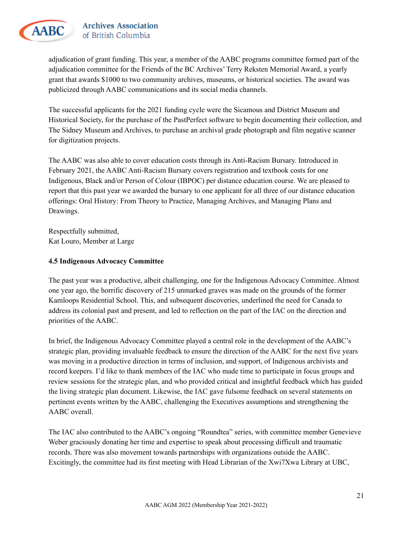

adjudication of grant funding. This year, a member of the AABC programs committee formed part of the adjudication committee for the Friends of the BC Archives' Terry Reksten Memorial Award, a yearly grant that awards \$1000 to two community archives, museums, or historical societies. The award was publicized through AABC communications and its social media channels.

The successful applicants for the 2021 funding cycle were the Sicamous and District Museum and Historical Society, for the purchase of the PastPerfect software to begin documenting their collection, and The Sidney Museum and Archives, to purchase an archival grade photograph and film negative scanner for digitization projects.

The AABC was also able to cover education costs through its Anti-Racism Bursary. Introduced in February 2021, the AABC Anti-Racism Bursary covers registration and textbook costs for one Indigenous, Black and/or Person of Colour (IBPOC) per distance education course. We are pleased to report that this past year we awarded the bursary to one applicant for all three of our distance education offerings: Oral History: From Theory to Practice, Managing Archives, and Managing Plans and Drawings.

Respectfully submitted, Kat Louro, Member at Large

#### <span id="page-20-0"></span>**4.5 Indigenous Advocacy Committee**

The past year was a productive, albeit challenging, one for the Indigenous Advocacy Committee. Almost one year ago, the horrific discovery of 215 unmarked graves was made on the grounds of the former Kamloops Residential School. This, and subsequent discoveries, underlined the need for Canada to address its colonial past and present, and led to reflection on the part of the IAC on the direction and priorities of the AABC.

In brief, the Indigenous Advocacy Committee played a central role in the development of the AABC's strategic plan, providing invaluable feedback to ensure the direction of the AABC for the next five years was moving in a productive direction in terms of inclusion, and support, of Indigenous archivists and record keepers. I'd like to thank members of the IAC who made time to participate in focus groups and review sessions for the strategic plan, and who provided critical and insightful feedback which has guided the living strategic plan document. Likewise, the IAC gave fulsome feedback on several statements on pertinent events written by the AABC, challenging the Executives assumptions and strengthening the AABC overall.

The IAC also contributed to the AABC's ongoing "Roundtea" series, with committee member Genevieve Weber graciously donating her time and expertise to speak about processing difficult and traumatic records. There was also movement towards partnerships with organizations outside the AABC. Excitingly, the committee had its first meeting with Head Librarian of the Xwi7Xwa Library at UBC,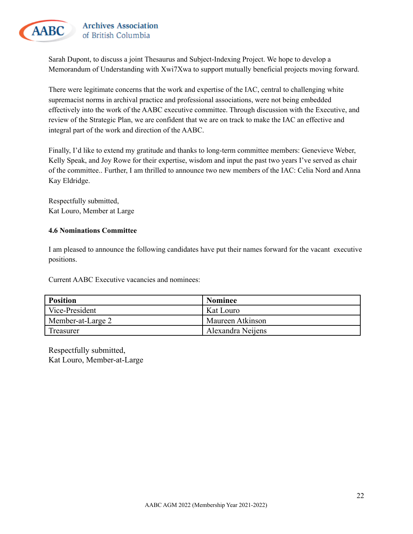

Sarah Dupont, to discuss a joint Thesaurus and Subject-Indexing Project. We hope to develop a Memorandum of Understanding with Xwi7Xwa to support mutually beneficial projects moving forward.

There were legitimate concerns that the work and expertise of the IAC, central to challenging white supremacist norms in archival practice and professional associations, were not being embedded effectively into the work of the AABC executive committee. Through discussion with the Executive, and review of the Strategic Plan, we are confident that we are on track to make the IAC an effective and integral part of the work and direction of the AABC.

Finally, I'd like to extend my gratitude and thanks to long-term committee members: Genevieve Weber, Kelly Speak, and Joy Rowe for their expertise, wisdom and input the past two years I've served as chair of the committee.. Further, I am thrilled to announce two new members of the IAC: Celia Nord and Anna Kay Eldridge.

Respectfully submitted, Kat Louro, Member at Large

#### <span id="page-21-0"></span>**4.6 Nominations Committee**

I am pleased to announce the following candidates have put their names forward for the vacant executive positions.

Current AABC Executive vacancies and nominees:

| <b>Position</b>   | <b>Nominee</b>    |
|-------------------|-------------------|
| Vice-President    | Kat Louro         |
| Member-at-Large 2 | Maureen Atkinson  |
| Treasurer         | Alexandra Neijens |

Respectfully submitted, Kat Louro, Member-at-Large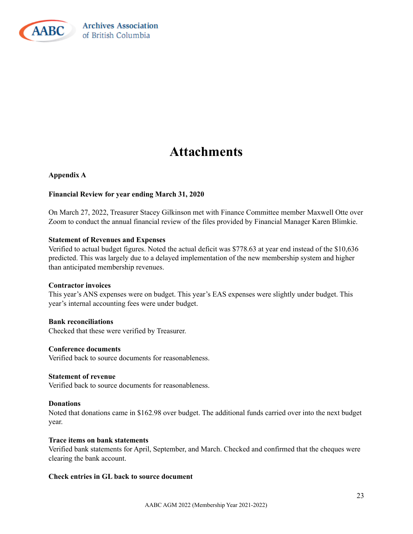

### **Attachments**

#### **Appendix A**

#### **Financial Review for year ending March 31, 2020**

On March 27, 2022, Treasurer Stacey Gilkinson met with Finance Committee member Maxwell Otte over Zoom to conduct the annual financial review of the files provided by Financial Manager Karen Blimkie.

#### **Statement of Revenues and Expenses**

Verified to actual budget figures. Noted the actual deficit was \$778.63 at year end instead of the \$10,636 predicted. This was largely due to a delayed implementation of the new membership system and higher than anticipated membership revenues.

#### **Contractor invoices**

This year's ANS expenses were on budget. This year's EAS expenses were slightly under budget. This year's internal accounting fees were under budget.

#### **Bank reconciliations**

Checked that these were verified by Treasurer.

#### **Conference documents**

Verified back to source documents for reasonableness.

#### **Statement of revenue**

Verified back to source documents for reasonableness.

#### **Donations**

Noted that donations came in \$162.98 over budget. The additional funds carried over into the next budget year.

#### **Trace items on bank statements**

Verified bank statements for April, September, and March. Checked and confirmed that the cheques were clearing the bank account.

#### **Check entries in GL back to source document**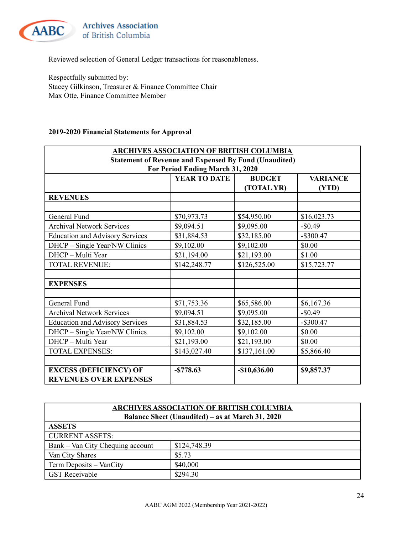

**Archives Association** of British Columbia

Reviewed selection of General Ledger transactions for reasonableness.

Respectfully submitted by: Stacey Gilkinson, Treasurer & Finance Committee Chair Max Otte, Finance Committee Member

#### **2019-2020 Financial Statements for Approval**

| <b>ARCHIVES ASSOCIATION OF BRITISH COLUMBIA</b>              |                                                         |               |              |  |  |
|--------------------------------------------------------------|---------------------------------------------------------|---------------|--------------|--|--|
| <b>Statement of Revenue and Expensed By Fund (Unaudited)</b> |                                                         |               |              |  |  |
|                                                              | For Period Ending March 31, 2020                        |               |              |  |  |
|                                                              | <b>YEAR TO DATE</b><br><b>BUDGET</b><br><b>VARIANCE</b> |               |              |  |  |
|                                                              |                                                         | (TOTAL YR)    | (YTD)        |  |  |
| <b>REVENUES</b>                                              |                                                         |               |              |  |  |
|                                                              |                                                         |               |              |  |  |
| General Fund                                                 | \$70,973.73                                             | \$54,950.00   | \$16,023.73  |  |  |
| <b>Archival Network Services</b>                             | \$9,094.51                                              | \$9,095.00    | $-$0.49$     |  |  |
| <b>Education and Advisory Services</b>                       | \$31,884.53                                             | \$32,185.00   | $-$ \$300.47 |  |  |
| DHCP - Single Year/NW Clinics                                | \$9,102.00                                              | \$9,102.00    | \$0.00       |  |  |
| DHCP - Multi Year                                            | \$21,194.00                                             | \$21,193.00   | \$1.00       |  |  |
| <b>TOTAL REVENUE:</b>                                        | \$142,248.77                                            | \$126,525.00  | \$15,723.77  |  |  |
|                                                              |                                                         |               |              |  |  |
| <b>EXPENSES</b>                                              |                                                         |               |              |  |  |
|                                                              |                                                         |               |              |  |  |
| General Fund                                                 | \$71,753.36                                             | \$65,586.00   | \$6,167.36   |  |  |
| <b>Archival Network Services</b>                             | \$9,094.51                                              | \$9,095.00    | $-$0.49$     |  |  |
| <b>Education and Advisory Services</b>                       | \$31,884.53                                             | \$32,185.00   | $-$ \$300.47 |  |  |
| DHCP - Single Year/NW Clinics                                | \$9,102.00                                              | \$9,102.00    | \$0.00       |  |  |
| DHCP - Multi Year                                            | \$21,193.00                                             | \$21,193.00   | \$0.00       |  |  |
| <b>TOTAL EXPENSES:</b>                                       | \$143,027.40                                            | \$137,161.00  | \$5,866.40   |  |  |
|                                                              |                                                         |               |              |  |  |
| <b>EXCESS (DEFICIENCY) OF</b>                                | $-$ \$778.63                                            | $-$10,636.00$ | \$9,857.37   |  |  |
| <b>REVENUES OVER EXPENSES</b>                                |                                                         |               |              |  |  |

| <b>ARCHIVES ASSOCIATION OF BRITISH COLUMBIA</b>  |              |  |  |
|--------------------------------------------------|--------------|--|--|
| Balance Sheet (Unaudited) – as at March 31, 2020 |              |  |  |
| <b>ASSETS</b>                                    |              |  |  |
| <b>CURRENT ASSETS:</b>                           |              |  |  |
| Bank – Van City Chequing account                 | \$124,748.39 |  |  |
| Van City Shares                                  | \$5.73       |  |  |
| Term Deposits – VanCity                          | \$40,000     |  |  |
| <b>GST</b> Receivable                            | \$294.30     |  |  |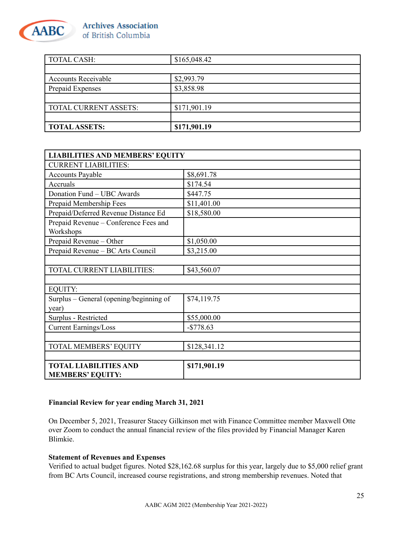![](_page_24_Picture_0.jpeg)

| <b>TOTAL CASH:</b>         | \$165,048.42 |
|----------------------------|--------------|
|                            |              |
| <b>Accounts Receivable</b> | \$2,993.79   |
| Prepaid Expenses           | \$3,858.98   |
|                            |              |
| TOTAL CURRENT ASSETS:      | \$171,901.19 |
|                            |              |
| <b>TOTAL ASSETS:</b>       | \$171,901.19 |

| <b>LIABILITIES AND MEMBERS' EQUITY</b>  |              |
|-----------------------------------------|--------------|
| <b>CURRENT LIABILITIES:</b>             |              |
| <b>Accounts Payable</b>                 | \$8,691.78   |
| Accruals                                | \$174.54     |
| Donation Fund - UBC Awards              | \$447.75     |
| Prepaid Membership Fees                 | \$11,401.00  |
| Prepaid/Deferred Revenue Distance Ed    | \$18,580.00  |
| Prepaid Revenue - Conference Fees and   |              |
| Workshops                               |              |
| Prepaid Revenue – Other                 | \$1,050.00   |
| Prepaid Revenue - BC Arts Council       | \$3,215.00   |
|                                         |              |
| TOTAL CURRENT LIABILITIES:              | \$43,560.07  |
|                                         |              |
| <b>EQUITY:</b>                          |              |
| Surplus – General (opening/beginning of | \$74,119.75  |
| year)                                   |              |
| Surplus - Restricted                    | \$55,000.00  |
| <b>Current Earnings/Loss</b>            | $-$778.63$   |
|                                         |              |
| TOTAL MEMBERS' EQUITY                   | \$128,341.12 |
|                                         |              |
| <b>TOTAL LIABILITIES AND</b>            | \$171,901.19 |
| <b>MEMBERS' EQUITY:</b>                 |              |

#### **Financial Review for year ending March 31, 2021**

On December 5, 2021, Treasurer Stacey Gilkinson met with Finance Committee member Maxwell Otte over Zoom to conduct the annual financial review of the files provided by Financial Manager Karen Blimkie.

#### **Statement of Revenues and Expenses**

Verified to actual budget figures. Noted \$28,162.68 surplus for this year, largely due to \$5,000 relief grant from BC Arts Council, increased course registrations, and strong membership revenues. Noted that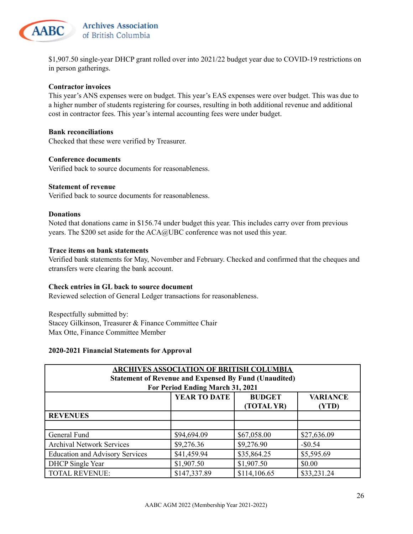![](_page_25_Picture_0.jpeg)

\$1,907.50 single-year DHCP grant rolled over into 2021/22 budget year due to COVID-19 restrictions on in person gatherings.

#### **Contractor invoices**

This year's ANS expenses were on budget. This year's EAS expenses were over budget. This was due to a higher number of students registering for courses, resulting in both additional revenue and additional cost in contractor fees. This year's internal accounting fees were under budget.

#### **Bank reconciliations**

Checked that these were verified by Treasurer.

#### **Conference documents**

Verified back to source documents for reasonableness.

#### **Statement of revenue**

Verified back to source documents for reasonableness.

#### **Donations**

Noted that donations came in \$156.74 under budget this year. This includes carry over from previous years. The \$200 set aside for the ACA@UBC conference was not used this year.

#### **Trace items on bank statements**

Verified bank statements for May, November and February. Checked and confirmed that the cheques and etransfers were clearing the bank account.

#### **Check entries in GL back to source document**

Reviewed selection of General Ledger transactions for reasonableness.

Respectfully submitted by: Stacey Gilkinson, Treasurer & Finance Committee Chair Max Otte, Finance Committee Member

#### **2020-2021 Financial Statements for Approval**

| <b>ARCHIVES ASSOCIATION OF BRITISH COLUMBIA</b>              |                                  |              |             |  |  |
|--------------------------------------------------------------|----------------------------------|--------------|-------------|--|--|
| <b>Statement of Revenue and Expensed By Fund (Unaudited)</b> |                                  |              |             |  |  |
|                                                              | For Period Ending March 31, 2021 |              |             |  |  |
| <b>YEAR TO DATE</b><br><b>BUDGET</b><br><b>VARIANCE</b>      |                                  |              |             |  |  |
|                                                              |                                  | (TOTAL YR)   | (YTD)       |  |  |
| <b>REVENUES</b>                                              |                                  |              |             |  |  |
|                                                              |                                  |              |             |  |  |
| General Fund                                                 | \$94,694.09                      | \$67,058.00  | \$27,636.09 |  |  |
| <b>Archival Network Services</b>                             | \$9,276.36                       | \$9,276.90   | $-$0.54$    |  |  |
| <b>Education and Advisory Services</b>                       | \$41,459.94                      | \$35,864.25  | \$5,595.69  |  |  |
| <b>DHCP</b> Single Year                                      | \$1,907.50                       | \$1,907.50   | \$0.00      |  |  |
| <b>TOTAL REVENUE:</b>                                        | \$147,337.89                     | \$114,106.65 | \$33,231.24 |  |  |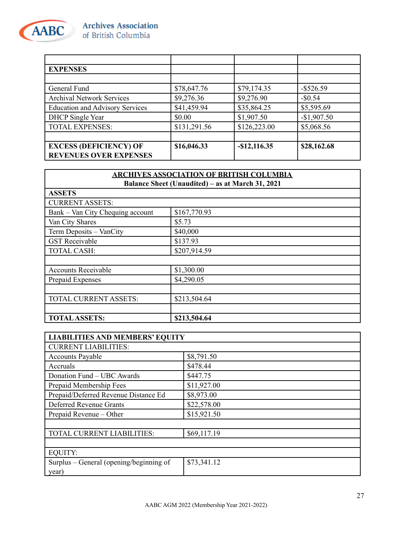![](_page_26_Picture_0.jpeg)

| <b>EXPENSES</b>                        |              |               |              |
|----------------------------------------|--------------|---------------|--------------|
|                                        |              |               |              |
| General Fund                           | \$78,647.76  | \$79,174.35   | $-$ \$526.59 |
| <b>Archival Network Services</b>       | \$9,276.36   | \$9,276.90    | $-$0.54$     |
| <b>Education and Advisory Services</b> | \$41,459.94  | \$35,864.25   | \$5,595.69   |
| <b>DHCP</b> Single Year                | \$0.00       | \$1,907.50    | $-$1,907.50$ |
| <b>TOTAL EXPENSES:</b>                 | \$131,291.56 | \$126,223.00  | \$5,068.56   |
|                                        |              |               |              |
| <b>EXCESS (DEFICIENCY) OF</b>          | \$16,046.33  | $-$12,116.35$ | \$28,162.68  |
| <b>REVENUES OVER EXPENSES</b>          |              |               |              |

| <b>ARCHIVES ASSOCIATION OF BRITISH COLUMBIA</b>  |              |  |  |  |
|--------------------------------------------------|--------------|--|--|--|
| Balance Sheet (Unaudited) – as at March 31, 2021 |              |  |  |  |
| <b>ASSETS</b>                                    |              |  |  |  |
| <b>CURRENT ASSETS:</b>                           |              |  |  |  |
| Bank – Van City Chequing account                 | \$167,770.93 |  |  |  |
| Van City Shares                                  | \$5.73       |  |  |  |
| Term Deposits - VanCity                          | \$40,000     |  |  |  |
| <b>GST</b> Receivable                            | \$137.93     |  |  |  |
| <b>TOTAL CASH:</b>                               | \$207,914.59 |  |  |  |
|                                                  |              |  |  |  |
| <b>Accounts Receivable</b>                       | \$1,300.00   |  |  |  |
| Prepaid Expenses                                 | \$4,290.05   |  |  |  |
|                                                  |              |  |  |  |
| TOTAL CURRENT ASSETS:                            | \$213,504.64 |  |  |  |
|                                                  |              |  |  |  |
| <b>TOTAL ASSETS:</b>                             | \$213,504.64 |  |  |  |

| <b>LIABILITIES AND MEMBERS' EQUITY</b>  |             |  |  |
|-----------------------------------------|-------------|--|--|
| <b>CURRENT LIABILITIES:</b>             |             |  |  |
| <b>Accounts Payable</b>                 | \$8,791.50  |  |  |
| Accruals                                | \$478.44    |  |  |
| Donation Fund - UBC Awards              | \$447.75    |  |  |
| Prepaid Membership Fees                 | \$11,927.00 |  |  |
| Prepaid/Deferred Revenue Distance Ed    | \$8,973.00  |  |  |
| Deferred Revenue Grants                 | \$22,578.00 |  |  |
| Prepaid Revenue – Other                 | \$15,921.50 |  |  |
|                                         |             |  |  |
| TOTAL CURRENT LIABILITIES:              | \$69,117.19 |  |  |
|                                         |             |  |  |
| <b>EQUITY:</b>                          |             |  |  |
| Surplus – General (opening/beginning of | \$73,341.12 |  |  |
| year)                                   |             |  |  |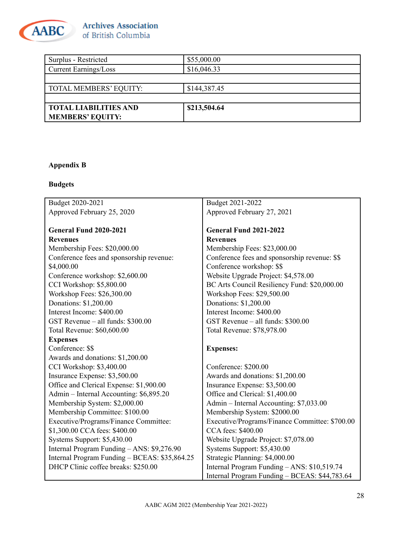![](_page_27_Picture_0.jpeg)

| Surplus - Restricted          | \$55,000.00  |
|-------------------------------|--------------|
| Current Earnings/Loss         | \$16,046.33  |
|                               |              |
| <b>TOTAL MEMBERS' EQUITY:</b> | \$144,387.45 |
|                               |              |
| <b>TOTAL LIABILITIES AND</b>  | \$213,504.64 |
| <b>MEMBERS' EQUITY:</b>       |              |

### **Appendix B**

### **Budgets**

| Budget 2020-2021                              | Budget 2021-2022                               |
|-----------------------------------------------|------------------------------------------------|
| Approved February 25, 2020                    | Approved February 27, 2021                     |
|                                               |                                                |
| <b>General Fund 2020-2021</b>                 | <b>General Fund 2021-2022</b>                  |
| <b>Revenues</b>                               | <b>Revenues</b>                                |
| Membership Fees: \$20,000.00                  | Membership Fees: \$23,000.00                   |
| Conference fees and sponsorship revenue:      | Conference fees and sponsorship revenue: \$\$  |
| \$4,000.00                                    | Conference workshop: \$\$                      |
| Conference workshop: \$2,600.00               | Website Upgrade Project: \$4,578.00            |
| CCI Workshop: \$5,800.00                      | BC Arts Council Resiliency Fund: \$20,000.00   |
| Workshop Fees: \$26,300.00                    | Workshop Fees: \$29,500.00                     |
| Donations: \$1,200.00                         | Donations: \$1,200.00                          |
| Interest Income: \$400.00                     | Interest Income: \$400.00                      |
| GST Revenue - all funds: \$300.00             | GST Revenue – all funds: \$300.00              |
| Total Revenue: \$60,600.00                    | Total Revenue: \$78,978.00                     |
| <b>Expenses</b>                               |                                                |
| Conference: \$\$                              | <b>Expenses:</b>                               |
| Awards and donations: \$1,200.00              |                                                |
| CCI Workshop: \$3,400.00                      | Conference: \$200.00                           |
| Insurance Expense: \$3,500.00                 | Awards and donations: \$1,200.00               |
| Office and Clerical Expense: \$1,900.00       | Insurance Expense: \$3,500.00                  |
| Admin - Internal Accounting: \$6,895.20       | Office and Clerical: \$1,400.00                |
| Membership System: \$2,000.00                 | Admin – Internal Accounting: \$7,033.00        |
| Membership Committee: \$100.00                | Membership System: \$2000.00                   |
| Executive/Programs/Finance Committee:         | Executive/Programs/Finance Committee: \$700.00 |
| \$1,300.00 CCA fees: \$400.00                 | CCA fees: \$400.00                             |
| Systems Support: \$5,430.00                   | Website Upgrade Project: \$7,078.00            |
| Internal Program Funding - ANS: \$9,276.90    | Systems Support: \$5,430.00                    |
| Internal Program Funding - BCEAS: \$35,864.25 | Strategic Planning: \$4,000.00                 |
| DHCP Clinic coffee breaks: \$250.00           | Internal Program Funding - ANS: \$10,519.74    |
|                                               | Internal Program Funding - BCEAS: \$44,783.64  |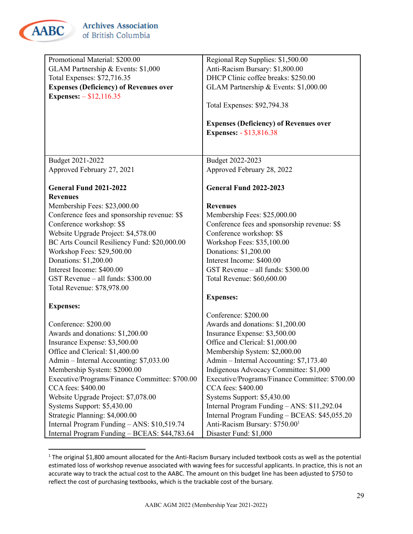![](_page_28_Picture_0.jpeg)

| Promotional Material: \$200.00                                       | Regional Rep Supplies: \$1,500.00                                    |
|----------------------------------------------------------------------|----------------------------------------------------------------------|
| GLAM Partnership & Events: \$1,000                                   | Anti-Racism Bursary: \$1,800.00                                      |
| Total Expenses: \$72,716.35                                          | DHCP Clinic coffee breaks: \$250.00                                  |
| <b>Expenses (Deficiency) of Revenues over</b>                        | GLAM Partnership & Events: \$1,000.00                                |
| <b>Expenses:</b> $- $12,116.35$                                      |                                                                      |
|                                                                      | Total Expenses: \$92,794.38                                          |
|                                                                      |                                                                      |
|                                                                      | <b>Expenses (Deficiency) of Revenues over</b>                        |
|                                                                      | <b>Expenses: - \$13,816.38</b>                                       |
|                                                                      |                                                                      |
| Budget 2021-2022                                                     | Budget 2022-2023                                                     |
| Approved February 27, 2021                                           | Approved February 28, 2022                                           |
|                                                                      |                                                                      |
| <b>General Fund 2021-2022</b>                                        | <b>General Fund 2022-2023</b>                                        |
| <b>Revenues</b>                                                      |                                                                      |
| Membership Fees: \$23,000.00                                         | <b>Revenues</b>                                                      |
| Conference fees and sponsorship revenue: \$\$                        | Membership Fees: \$25,000.00                                         |
| Conference workshop: \$\$                                            | Conference fees and sponsorship revenue: \$\$                        |
| Website Upgrade Project: \$4,578.00                                  | Conference workshop: \$\$                                            |
| BC Arts Council Resiliency Fund: \$20,000.00                         | Workshop Fees: \$35,100.00                                           |
| Workshop Fees: \$29,500.00                                           | Donations: \$1,200.00                                                |
| Donations: \$1,200.00                                                | Interest Income: \$400.00                                            |
| Interest Income: \$400.00                                            | GST Revenue - all funds: \$300.00                                    |
|                                                                      |                                                                      |
| GST Revenue - all funds: \$300.00                                    | Total Revenue: \$60,600.00                                           |
| Total Revenue: \$78,978.00                                           |                                                                      |
|                                                                      | <b>Expenses:</b>                                                     |
| <b>Expenses:</b>                                                     |                                                                      |
| Conference: \$200.00                                                 | Conference: \$200.00<br>Awards and donations: \$1,200.00             |
| Awards and donations: \$1,200.00                                     | Insurance Expense: \$3,500.00                                        |
|                                                                      | Office and Clerical: \$1,000.00                                      |
| Insurance Expense: \$3,500.00                                        |                                                                      |
| Office and Clerical: \$1,400.00                                      | Membership System: \$2,000.00                                        |
| Admin – Internal Accounting: \$7,033.00                              | Admin – Internal Accounting: \$7,173.40                              |
| Membership System: \$2000.00                                         | Indigenous Advocacy Committee: \$1,000                               |
| Executive/Programs/Finance Committee: \$700.00<br>CCA fees: \$400.00 | Executive/Programs/Finance Committee: \$700.00<br>CCA fees: \$400.00 |
|                                                                      |                                                                      |
| Website Upgrade Project: \$7,078.00                                  | Systems Support: \$5,430.00                                          |
| Systems Support: \$5,430.00                                          | Internal Program Funding - ANS: \$11,292.04                          |
| Strategic Planning: \$4,000.00                                       | Internal Program Funding - BCEAS: \$45,055.20                        |
| Internal Program Funding - ANS: \$10,519.74                          | Anti-Racism Bursary: \$750.00 <sup>1</sup>                           |
| Internal Program Funding - BCEAS: \$44,783.64                        | Disaster Fund: \$1,000                                               |

 $1$  The original \$1,800 amount allocated for the Anti-Racism Bursary included textbook costs as well as the potential estimated loss of workshop revenue associated with waving fees for successful applicants. In practice, this is not an accurate way to track the actual cost to the AABC. The amount on this budget line has been adjusted to \$750 to reflect the cost of purchasing textbooks, which is the trackable cost of the bursary.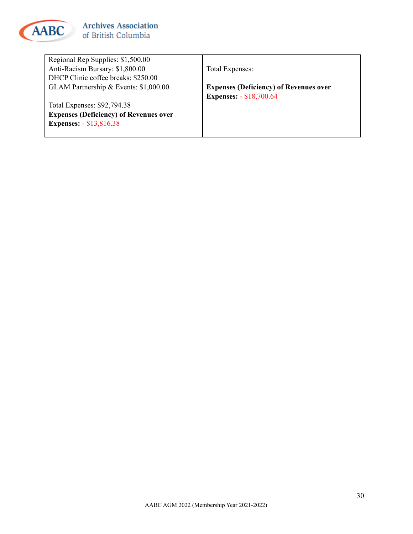![](_page_29_Picture_0.jpeg)

Regional Rep Supplies: \$1,500.00 Anti-Racism Bursary: \$1,800.00 DHCP Clinic coffee breaks: \$250.00 GLAM Partnership & Events: \$1,000.00

Total Expenses: \$92,794.38 **Expenses (Deficiency) of Revenues over Expenses:** - \$13,816.38

Total Expenses:

**Expenses (Deficiency) of Revenues over Expenses:** - \$18,700.64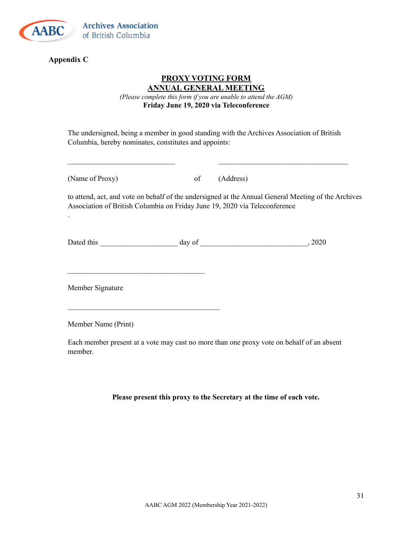![](_page_30_Picture_0.jpeg)

#### **Appendix C**

.

#### **PROXY VOTING FORM ANNUAL GENERAL MEETING**

*(Please complete this form if you are unable to attend the AGM)* **Friday June 19, 2020 via Teleconference**

The undersigned, being a member in good standing with the Archives Association of British Columbia, hereby nominates, constitutes and appoints:

 $\mathcal{L}_\text{max} = \mathcal{L}_\text{max} = \mathcal{L}_\text{max} = \mathcal{L}_\text{max} = \mathcal{L}_\text{max} = \mathcal{L}_\text{max} = \mathcal{L}_\text{max} = \mathcal{L}_\text{max} = \mathcal{L}_\text{max} = \mathcal{L}_\text{max} = \mathcal{L}_\text{max} = \mathcal{L}_\text{max} = \mathcal{L}_\text{max} = \mathcal{L}_\text{max} = \mathcal{L}_\text{max} = \mathcal{L}_\text{max} = \mathcal{L}_\text{max} = \mathcal{L}_\text{max} = \mathcal{$ 

(Name of Proxy) of (Address)

to attend, act, and vote on behalf of the undersigned at the Annual General Meeting of the Archives Association of British Columbia on Friday June 19, 2020 via Teleconference

Dated this \_\_\_\_\_\_\_\_\_\_\_\_\_\_\_\_\_\_\_\_\_ day of \_\_\_\_\_\_\_\_\_\_\_\_\_\_\_\_\_\_\_\_\_\_\_\_\_\_\_\_\_, 2020

Member Signature

 $\mathcal{L}_\text{max}$ 

 $\mathcal{L}_\text{max}$ 

Member Name (Print)

Each member present at a vote may cast no more than one proxy vote on behalf of an absent member.

**Please present this proxy to the Secretary at the time of each vote.**